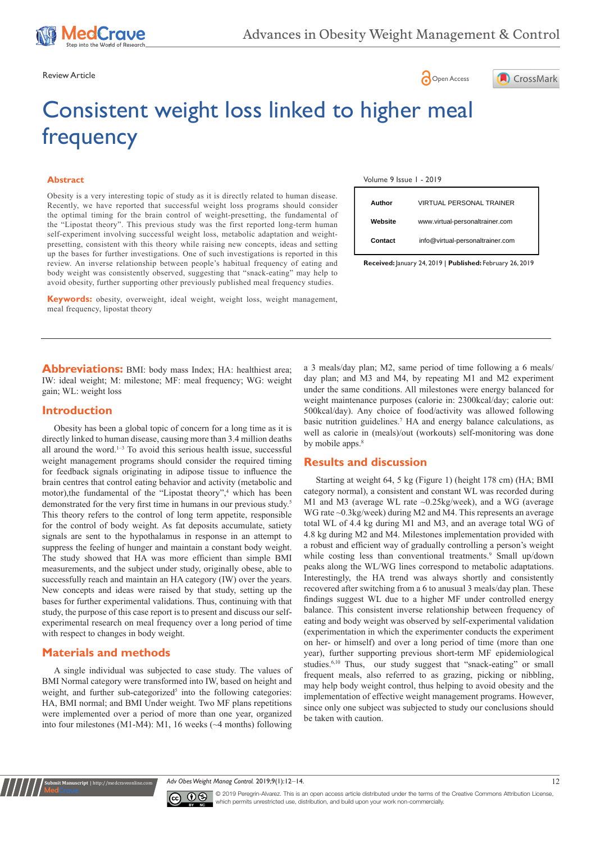





# Consistent weight loss linked to higher meal frequency

#### **Abstract**

Obesity is a very interesting topic of study as it is directly related to human disease. Recently, we have reported that successful weight loss programs should consider the optimal timing for the brain control of weight-presetting, the fundamental of the "Lipostat theory". This previous study was the first reported long-term human self-experiment involving successful weight loss, metabolic adaptation and weightpresetting, consistent with this theory while raising new concepts, ideas and setting up the bases for further investigations. One of such investigations is reported in this review. An inverse relationship between people's habitual frequency of eating and body weight was consistently observed, suggesting that "snack-eating" may help to avoid obesity, further supporting other previously published meal frequency studies.

**Keywords:** obesity, overweight, ideal weight, weight loss, weight management, meal frequency, lipostat theory

**Abbreviations:** BMI: body mass Index; HA: healthiest area; IW: ideal weight; M: milestone; MF: meal frequency; WG: weight gain; WL: weight loss

### **Introduction**

Obesity has been a global topic of concern for a long time as it is directly linked to human disease, causing more than 3.4 million deaths all around the word. $1-3$  To avoid this serious health issue, successful weight management programs should consider the required timing for feedback signals originating in adipose tissue to influence the brain centres that control eating behavior and activity (metabolic and motor), the fundamental of the "Lipostat theory",<sup>4</sup> which has been demonstrated for the very first time in humans in our previous study.<sup>5</sup> This theory refers to the control of long term appetite, responsible for the control of body weight. As fat deposits accumulate, satiety signals are sent to the hypothalamus in response in an attempt to suppress the feeling of hunger and maintain a constant body weight. The study showed that HA was more efficient than simple BMI measurements, and the subject under study, originally obese, able to successfully reach and maintain an HA category (IW) over the years. New concepts and ideas were raised by that study, setting up the bases for further experimental validations. Thus, continuing with that study, the purpose of this case report is to present and discuss our selfexperimental research on meal frequency over a long period of time with respect to changes in body weight.

# **Materials and methods**

**it Manuscript** | http://medcra

A single individual was subjected to case study. The values of BMI Normal category were transformed into IW, based on height and weight, and further sub-categorized<sup>5</sup> into the following categories: HA, BMI normal; and BMI Under weight. Two MF plans repetitions were implemented over a period of more than one year, organized into four milestones (M1-M4): M1, 16 weeks (~4 months) following

| Volume 9 Issue 1 - 2019 |  |  |  |  |  |  |
|-------------------------|--|--|--|--|--|--|
|-------------------------|--|--|--|--|--|--|

| Author  | <b>VIRTUAL PERSONAL TRAINER</b>  |
|---------|----------------------------------|
| Website | www.virtual-personaltrainer.com  |
| Contact | info@virtual-personaltrainer.com |

**Received:** January 24, 2019 | **Published:** February 26, 2019

a 3 meals/day plan; M2, same period of time following a 6 meals/ day plan; and M3 and M4, by repeating M1 and M2 experiment under the same conditions. All milestones were energy balanced for weight maintenance purposes (calorie in: 2300kcal/day; calorie out: 500kcal/day). Any choice of food/activity was allowed following basic nutrition guidelines.<sup>7</sup> HA and energy balance calculations, as well as calorie in (meals)/out (workouts) self-monitoring was done by mobile apps.<sup>8</sup>

# **Results and discussion**

Starting at weight 64, 5 kg (Figure 1) (height 178 cm) (HA; BMI category normal), a consistent and constant WL was recorded during M1 and M3 (average WL rate ~0.25kg/week), and a WG (average WG rate ~0.3kg/week) during M2 and M4. This represents an average total WL of 4.4 kg during M1 and M3, and an average total WG of 4.8 kg during M2 and M4. Milestones implementation provided with a robust and efficient way of gradually controlling a person's weight while costing less than conventional treatments.<sup>9</sup> Small up/down peaks along the WL/WG lines correspond to metabolic adaptations. Interestingly, the HA trend was always shortly and consistently recovered after switching from a 6 to anusual 3 meals/day plan. These findings suggest WL due to a higher MF under controlled energy balance. This consistent inverse relationship between frequency of eating and body weight was observed by self-experimental validation (experimentation in which the experimenter conducts the experiment on her- or himself) and over a long period of time (more than one year), further supporting previous short-term MF epidemiological studies.<sup>6,10</sup> Thus, our study suggest that "snack-eating" or small frequent meals, also referred to as grazing, picking or nibbling, may help body weight control, thus helping to avoid obesity and the implementation of effective weight management programs. However, since only one subject was subjected to study our conclusions should be taken with caution.





© 2019 Peregrin-Alvarez. This is an open access article distributed under the terms of the [Creative Commons Attribution License](https://creativecommons.org/licenses/by-nc/4.0/), which permits unrestricted use, distribution, and build upon your work non-commercially.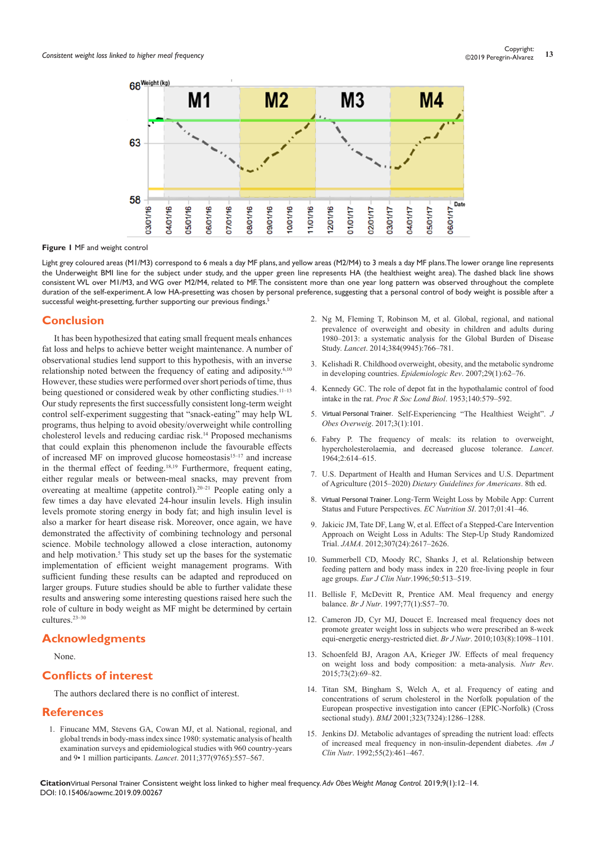

**Figure 1** MF and weight control

Light grey coloured areas (M1/M3) correspond to 6 meals a day MF plans, and yellow areas (M2/M4) to 3 meals a day MF plans. The lower orange line represents the Underweight BMI line for the subject under study, and the upper green line represents HA (the healthiest weight area). The dashed black line shows consistent WL over M1/M3, and WG over M2/M4, related to MF. The consistent more than one year long pattern was observed throughout the complete duration of the self-experiment. A low HA-presetting was chosen by personal preference, suggesting that a personal control of body weight is possible after a successful weight-presetting, further supporting our previous findings.<sup>5</sup>

#### **Conclusion**

It has been hypothesized that eating small frequent meals enhances fat loss and helps to achieve better weight maintenance. A number of observational studies lend support to this hypothesis, with an inverse relationship noted between the frequency of eating and adiposity.<sup>6,10</sup> However, these studies were performed over short periods of time, thus being questioned or considered weak by other conflicting studies.<sup>11-13</sup> Our study represents the first successfully consistent long-term weight control self-experiment suggesting that "snack-eating" may help WL programs, thus helping to avoid obesity/overweight while controlling cholesterol levels and reducing cardiac risk.14 Proposed mechanisms that could explain this phenomenon include the favourable effects of increased MF on improved glucose homeostasis<sup>15-17</sup> and increase in the thermal effect of feeding.18,19 Furthermore, frequent eating, either regular meals or between-meal snacks, may prevent from overeating at mealtime (appetite control).20–21 People eating only a few times a day have elevated 24-hour insulin levels. High insulin levels promote storing energy in body fat; and high insulin level is also a marker for heart disease risk. Moreover, once again, we have demonstrated the affectivity of combining technology and personal science. Mobile technology allowed a close interaction, autonomy and help motivation.<sup>5</sup> This study set up the bases for the systematic implementation of efficient weight management programs. With sufficient funding these results can be adapted and reproduced on larger groups. Future studies should be able to further validate these results and answering some interesting questions raised here such the role of culture in body weight as MF might be determined by certain cultures.23–30 Solven the suggesting that "Snatk-acting" may help WL. 5. Virtual Personal Trainer.<br>
Sign, thus helping to avoid obesity/overweight while controlling<br>
of *Des Overweig*, 2017,<br>
In the spheme to recover the frequence inclu

#### **Acknowledgments**

None.

# **Conflicts of interest**

The authors declared there is no conflict of interest.

#### **References**

1. [Finucane MM, Stevens GA, Cowan MJ, et al. National, regional, and](https://www.ncbi.nlm.nih.gov/pubmed/21295846)  [global trends in body-mass index since 1980: systematic analysis of health](https://www.ncbi.nlm.nih.gov/pubmed/21295846)  [examination surveys and epidemiological studies with 960 country-years](https://www.ncbi.nlm.nih.gov/pubmed/21295846)  [and 9• 1 million participants.](https://www.ncbi.nlm.nih.gov/pubmed/21295846) *Lancet*. 2011;377(9765):557–567.

- 2. [Ng M, Fleming T, Robinson M, et al. Global, regional, and national](https://www.ncbi.nlm.nih.gov/pubmed/24880830)  [prevalence of overweight and obesity in children and adults during](https://www.ncbi.nlm.nih.gov/pubmed/24880830)  [1980–2013: a systematic analysis for the Global Burden of Disease](https://www.ncbi.nlm.nih.gov/pubmed/24880830)  Study. *Lancet*[. 2014;384\(9945\):766–781.](https://www.ncbi.nlm.nih.gov/pubmed/24880830)
- 3. [Kelishadi R. Childhood overweight, obesity, and the metabolic syndrome](https://www.ncbi.nlm.nih.gov/pubmed/17478440)  [in developing countries.](https://www.ncbi.nlm.nih.gov/pubmed/17478440) *Epidemiologic Rev*. 2007;29(1):62–76.
- 4. [Kennedy GC. The role of depot fat in the hypothalamic control of food](https://royalsocietypublishing.org/doi/abs/10.1098/rspb.1953.0009)  intake in the rat. *[Proc R Soc Lond Biol](https://royalsocietypublishing.org/doi/abs/10.1098/rspb.1953.0009)*. 1953;140:579–592.
- 5. Virtual Personal Trainer. Self-Experiencing "The Healthiest Weight". *J Obes Overweig*[. 2017;3\(1\):101.](http://www.annexpublishers.com/articles/JOO/3101-Self-Experiencing-The-Healthiest-Weight.pdf)
- 6. [Fabry P. The frequency of meals: its relation to overweight,](https://www.ncbi.nlm.nih.gov/pubmed/14186149)  [hypercholesterolaemia, and decreased glucose tolerance.](https://www.ncbi.nlm.nih.gov/pubmed/14186149) *Lancet*. [1964;2:614–615.](https://www.ncbi.nlm.nih.gov/pubmed/14186149)
- 7. U.S. Department of Health and Human Services and U.S. Department of Agriculture (2015–2020) *Dietary Guidelines for Americans*. 8th ed.
- 8. Virtual Personal Trainer. Long-Term Weight Loss by Mobile App: Current [Status and Future Perspectives.](https://pdfs.semanticscholar.org/8eb2/80e01a1510e3b1ad0256d879b4d7e0b08b93.pdf) *EC Nutrition SI*. 2017;01:41–46.
- 9. [Jakicic JM, Tate DF, Lang W, et al. Effect of a Stepped-Care Intervention](https://www.ncbi.nlm.nih.gov/pubmed/22735431)  [Approach on Weight Loss in Adults: The Step-Up Study Randomized](https://www.ncbi.nlm.nih.gov/pubmed/22735431)  Trial. *JAMA*[. 2012;307\(24\):2617–2626.](https://www.ncbi.nlm.nih.gov/pubmed/22735431)
- 10. [Summerbell CD, Moody RC, Shanks J, et al. Relationship between](https://www.ncbi.nlm.nih.gov/pubmed/8863011)  [feeding pattern and body mass index in 220 free-living people in four](https://www.ncbi.nlm.nih.gov/pubmed/8863011)  age groups. *Eur J Clin Nutr*[.1996;50:513–519.](https://www.ncbi.nlm.nih.gov/pubmed/8863011)
- 11. [Bellisle F, McDevitt R, Prentice AM. Meal frequency and energy](https://www.ncbi.nlm.nih.gov/pubmed/9155494)  balance. *Br J Nutr*[. 1997;77\(1\):S57–70.](https://www.ncbi.nlm.nih.gov/pubmed/9155494)
- 12. [Cameron JD, Cyr MJ, Doucet E. Increased meal frequency does not](https://www.ncbi.nlm.nih.gov/pubmed/19943985)  [promote greater weight loss in subjects who were prescribed an 8-week](https://www.ncbi.nlm.nih.gov/pubmed/19943985)  [equi-energetic energy-restricted diet.](https://www.ncbi.nlm.nih.gov/pubmed/19943985) *Br J Nutr*. 2010;103(8):1098–1101.
- 13. [Schoenfeld BJ, Aragon AA, Krieger JW. Effects of meal frequency](https://www.ncbi.nlm.nih.gov/pubmed/26024494)  [on weight loss and body composition: a meta-analysis.](https://www.ncbi.nlm.nih.gov/pubmed/26024494) *Nutr Rev*. [2015;73\(2\):69–82.](https://www.ncbi.nlm.nih.gov/pubmed/26024494)
- 14. [Titan SM, Bingham S, Welch A, et al. Frequency of eating and](https://www.ncbi.nlm.nih.gov/pubmed/11731392)  [concentrations of serum cholesterol in the Norfolk population of the](https://www.ncbi.nlm.nih.gov/pubmed/11731392)  [European prospective investigation into cancer \(EPIC-Norfolk\) \(Cross](https://www.ncbi.nlm.nih.gov/pubmed/11731392)  sectional study). *BMJ* [2001;323\(7324\):1286–1288.](https://www.ncbi.nlm.nih.gov/pubmed/11731392)
- 15. [Jenkins DJ. Metabolic advantages of spreading the nutrient load: effects](https://www.ncbi.nlm.nih.gov/pubmed/1734685)  [of increased meal frequency in non-insulin-dependent diabetes.](https://www.ncbi.nlm.nih.gov/pubmed/1734685) *Am J Clin Nutr*[. 1992;55\(2\):461–467.](https://www.ncbi.nlm.nih.gov/pubmed/1734685)

CitationVirtual Personal Trainer Consistent weight loss linked to higher meal frequency. Adv Obes Weight Manag Control. 2019;9(1):12-14. DOI: [10.15406/aowmc.2019.09.00267](https://doi.org/10.15406/aowmc.2019.09.00267)